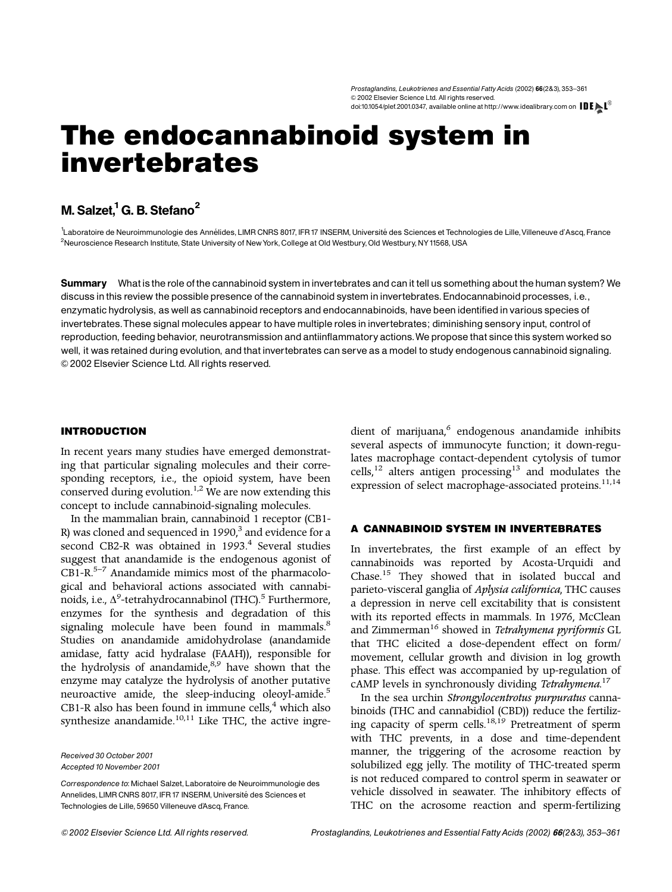# The endocannabinoid system in invertebrates

# M. Salzet,<sup>1</sup> G. B. Stefano<sup>2</sup>

1<br>Laboratoire de Neuroimmunologie des Annélides, LIMR CNRS 8017, IFR 17 INSERM, Université des Sciences et Technologies de Lille, Villeneuve d'Ascq, France <sup>2</sup>Neuroscience Research Institute, State University of New York, College at Old Westbury, Old Westbury, NY 11568, USA

Summary What is the role of the cannabinoid system in invertebrates and can it tell us something about the human system? We discussin this review the possible presence of the cannabinoid system in invertebrates. Endocannabinoid processes, i.e., enzymatic hydrolysis, as well as cannabinoid receptors and endocannabinoids, have been identifiedin various species of invertebrates. These signal molecules appear to have multiple roles in invertebrates; diminishing sensory input, control of reproduction, feeding behavior, neurotransmission and antiinflammatory actions.We propose that since this system worked so well, it was retained during evolution, and that invertebrates can serve as a model to study endogenous cannabinoid signaling. & 2002 Elsevier Science Ltd. All rights reserved.

#### INTRODUCTION

In recent years many studies have emerged demonstrating that particular signaling molecules and their corresponding receptors, i.e., the opioid system, have been conserved during evolution.<sup>[1,2](#page-7-0)</sup> We are now extending this concept to include cannabinoid-signaling molecules.

In the mammalian brain, cannabinoid 1 receptor (CB1- R) was cloned and sequenced in 1990, $3$  and evidence for a second CB2-R was obtained in 1993.<sup>[4](#page-7-0)</sup> Several studies suggest that anandamide is the endogenous agonist of  $CB1-R$ <sup>5–7</sup> Anandamide mimics most of the pharmacological and behavioral actions associated with cannabinoids, i.e.,  $\Delta^9$ -tetrahydrocannabinol (THC).<sup>[5](#page-7-0)</sup> Furthermore, enzymes for the synthesis and degradation of this signaling molecule have been found in mammals.<sup>[8](#page-7-0)</sup> Studies on anandamide amidohydrolase (anandamide amidase, fatty acid hydralase (FAAH)), responsible for the hydrolysis of anandamide, $8,9$  have shown that the enzyme may catalyze the hydrolysis of another putative neuroactive amide, the sleep-inducing oleoyl-amide.<sup>5</sup> CB1-R also has been found in immune cells, $4$  which also synthesize anandamide. $10,11$  Like THC, the active ingre-

Received 30 October 2001 Accepted 10 November 2001

Correspondence to:Michael Salzet, Laboratoire de Neuroimmunologie des Annelides, LIMR CNRS 8017, IFR 17 INSERM, Université des Sciences et Technologies de Lille, 59650 Villeneuve d'Ascq, France.

dient of marijuana, $6$  endogenous anandamide inhibits several aspects of immunocyte function; it down-regulates macrophage contact-dependent cytolysis of tumor cells, $12$  alters antigen processing<sup>[13](#page-7-0)</sup> and modulates the expression of select macrophage-associated proteins.<sup>[11,14](#page-7-0)</sup>

# A CANNABINOID SYSTEM IN INVERTEBRATES

In invertebrates, the first example of an effect by cannabinoids was reported by Acosta-Urquidi and Chase[.15](#page-7-0) They showed that in isolated buccal and parieto-visceral ganglia of *Aplysia californica*, THC causes a depression in nerve cell excitability that is consistent with its reported effects in mammals. In 1976, McClean and Zimmerman[16](#page-7-0) showed in *Tetrahymena pyriformis* GL that THC elicited a dose-dependent effect on form/ movement, cellular growth and division in log growth phase. This effect was accompanied by up-regulation of cAMP levels in synchronously dividing *Tetrahymena*. [17](#page-7-0)

In the sea urchin *Strongylocentrotus purpuratus* cannabinoids (THC and cannabidiol (CBD)) reduce the fertiliz-ing capacity of sperm cells.<sup>[18,19](#page-7-0)</sup> Pretreatment of sperm with THC prevents, in a dose and time-dependent manner, the triggering of the acrosome reaction by solubilized egg jelly. The motility of THC-treated sperm is not reduced compared to control sperm in seawater or vehicle dissolved in seawater. The inhibitory effects of THC on the acrosome reaction and sperm-fertilizing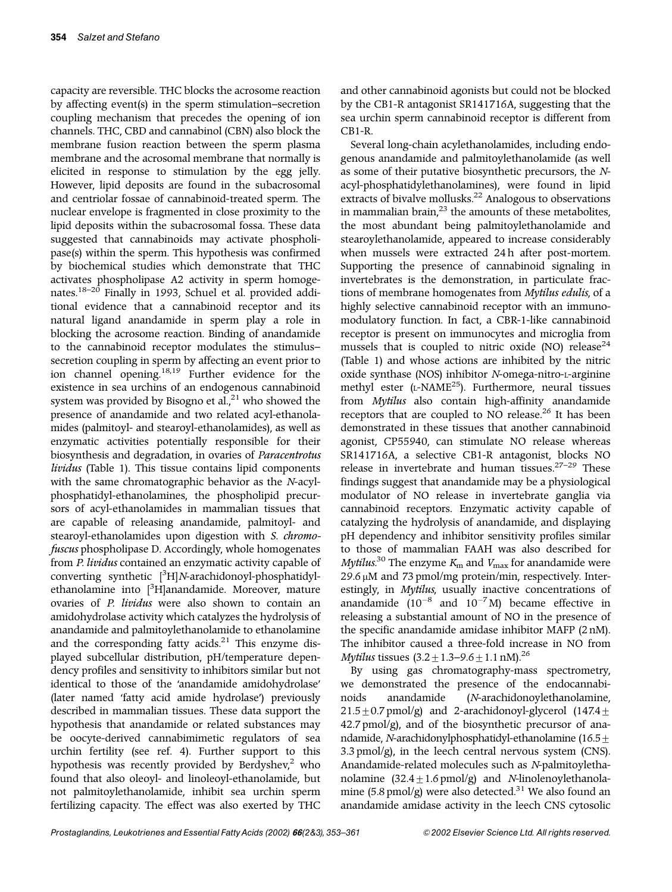capacity are reversible. THC blocks the acrosome reaction by affecting event(s) in the sperm stimulation–secretion coupling mechanism that precedes the opening of ion channels. THC, CBD and cannabinol (CBN) also block the membrane fusion reaction between the sperm plasma membrane and the acrosomal membrane that normally is elicited in response to stimulation by the egg jelly. However, lipid deposits are found in the subacrosomal and centriolar fossae of cannabinoid-treated sperm. The nuclear envelope is fragmented in close proximity to the lipid deposits within the subacrosomal fossa. These data suggested that cannabinoids may activate phospholipase(s) within the sperm. This hypothesis was confirmed by biochemical studies which demonstrate that THC activates phospholipase A2 activity in sperm homogenates.[18–20](#page-7-0) Finally in 1993, Schuel et al. provided additional evidence that a cannabinoid receptor and its natural ligand anandamide in sperm play a role in blocking the acrosome reaction. Binding of anandamide to the cannabinoid receptor modulates the stimulus– secretion coupling in sperm by affecting an event prior to ion channel opening.[18,19](#page-7-0) Further evidence for the existence in sea urchins of an endogenous cannabinoid system was provided by Bisogno et  $aL<sub>1</sub><sup>21</sup>$  $aL<sub>1</sub><sup>21</sup>$  $aL<sub>1</sub><sup>21</sup>$  who showed the presence of anandamide and two related acyl-ethanolamides (palmitoyl- and stearoyl-ethanolamides), as well as enzymatic activities potentially responsible for their biosynthesis and degradation, in ovaries of *Paracentrotus lividus* [\(Table 1\)](#page-2-0). This tissue contains lipid components with the same chromatographic behavior as the *N*-acylphosphatidyl-ethanolamines, the phospholipid precursors of acyl-ethanolamides in mammalian tissues that are capable of releasing anandamide, palmitoyl- and stearoyl-ethanolamides upon digestion with *S. chromofuscus* phospholipase D. Accordingly, whole homogenates from *P. lividus* contained an enzymatic activity capable of converting synthetic [<sup>3</sup> H]*N*-arachidonoyl-phosphatidylethanolamine into [<sup>3</sup>H]anandamide. Moreover, mature ovaries of *P. lividus* were also shown to contain an amidohydrolase activity which catalyzes the hydrolysis of anandamide and palmitoylethanolamide to ethanolamine and the corresponding fatty acids. $21$  This enzyme displayed subcellular distribution, pH/temperature dependency profiles and sensitivity to inhibitors similar but not identical to those of the 'anandamide amidohydrolase' (later named 'fatty acid amide hydrolase') previously described in mammalian tissues. These data support the hypothesis that anandamide or related substances may be oocyte-derived cannabimimetic regulators of sea urchin fertility (see [ref. 4\)](#page-7-0). Further support to this hypothesis was recently provided by Berdyshev, $2$  who found that also oleoyl- and linoleoyl-ethanolamide, but not palmitoylethanolamide, inhibit sea urchin sperm fertilizing capacity. The effect was also exerted by THC

and other cannabinoid agonists but could not be blocked by the CB1-R antagonist SR141716A, suggesting that the sea urchin sperm cannabinoid receptor is different from CB1-R.

Several long-chain acylethanolamides, including endogenous anandamide and palmitoylethanolamide (as well as some of their putative biosynthetic precursors, the *N*acyl-phosphatidylethanolamines), were found in lipid extracts of bivalve mollusks.<sup>[22](#page-7-0)</sup> Analogous to observations in mammalian brain, $^{23}$  $^{23}$  $^{23}$  the amounts of these metabolites, the most abundant being palmitoylethanolamide and stearoylethanolamide, appeared to increase considerably when mussels were extracted 24h after post-mortem. Supporting the presence of cannabinoid signaling in invertebrates is the demonstration, in particulate fractions of membrane homogenates from *Mytilus edulis*, of a highly selective cannabinoid receptor with an immunomodulatory function. In fact, a CBR-1-like cannabinoid receptor is present on immunocytes and microglia from mussels that is coupled to nitric oxide (NO) release<sup>[24](#page-7-0)</sup> [\(Table 1\)](#page-2-0) and whose actions are inhibited by the nitric oxide synthase (NOS) inhibitor *N*-omega-nitro-L-arginine methyl ester (L-NAME<sup>25</sup>). Furthermore, neural tissues from *Mytilus* also contain high-affinity anandamide receptors that are coupled to NO release.<sup>[26](#page-7-0)</sup> It has been demonstrated in these tissues that another cannabinoid agonist, CP55940, can stimulate NO release whereas SR141716A, a selective CB1-R antagonist, blocks NO release in invertebrate and human tissues. $27-29$  These findings suggest that anandamide may be a physiological modulator of NO release in invertebrate ganglia via cannabinoid receptors. Enzymatic activity capable of catalyzing the hydrolysis of anandamide, and displaying pH dependency and inhibitor sensitivity profiles similar to those of mammalian FAAH was also described for *Mytilus*<sup>[30](#page-7-0)</sup> The enzyme  $K_{\rm m}$  and  $V_{\rm max}$  for anandamide were  $29.6 \mu$ M and 73 pmol/mg protein/min, respectively. Interestingly, in *Mytilus*, usually inactive concentrations of anandamide  $(10^{-8}$  and  $10^{-7}$ M) became effective in releasing a substantial amount of NO in the presence of the specific anandamide amidase inhibitor MAFP (2 nM). The inhibitor caused a three-fold increase in NO from *Mytilus* tissues  $(3.2 \pm 1.3 - 9.6 \pm 1.1 \text{ nM})^{26}$  $(3.2 \pm 1.3 - 9.6 \pm 1.1 \text{ nM})^{26}$  $(3.2 \pm 1.3 - 9.6 \pm 1.1 \text{ nM})^{26}$ 

By using gas chromatography-mass spectrometry, we demonstrated the presence of the endocannabinoids anandamide (*N*-arachidonoylethanolamine,  $21.5\pm0.7$  pmol/g) and 2-arachidonoyl-glycerol (147.4 $\pm$  $42.7$  pmol/g), and of the biosynthetic precursor of anandamide, *N*-arachidonylphosphatidyl-ethanolamine (16.5 ± 3.3 pmol/g), in the leech central nervous system (CNS). Anandamide-related molecules such as *N*-palmitoylethanolamine  $(32.4 \pm 1.6 \text{ pmol/g})$  and *N*-linolenoylethanola-mine (5.8 pmol/g) were also detected.<sup>[31](#page-7-0)</sup> We also found an anandamide amidase activity in the leech CNS cytosolic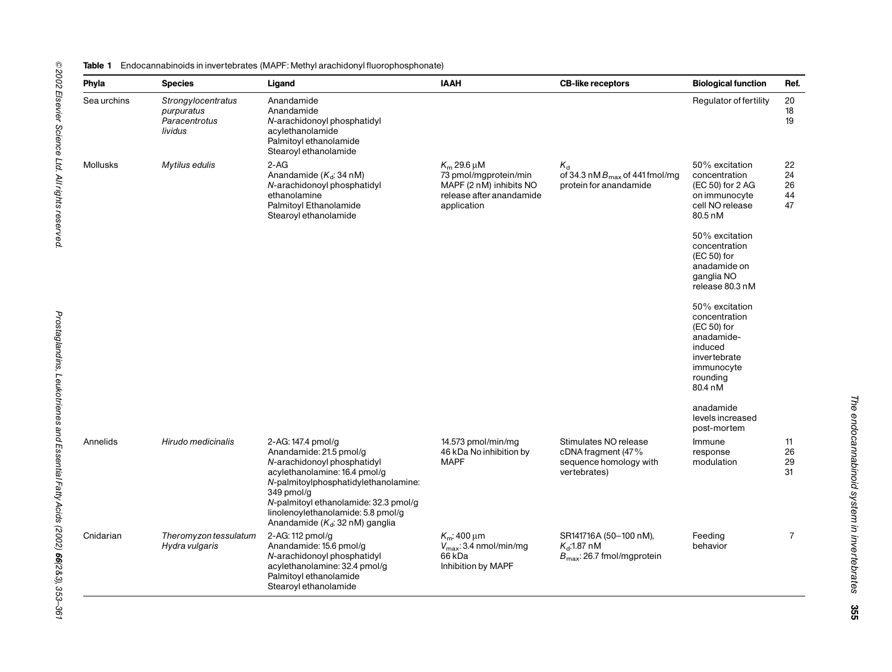#### <span id="page-2-0"></span>**Table 1** Endocannabinoids in invertebrates (MAPF: Methyl arachidonyl fluorophosphonate)

| Phyla       | <b>Species</b>                                               | Ligand                                                                                                                                                                                                                                                                                    | <b>IAAH</b>                                                                                                       | <b>CB-like receptors</b>                                                                 | <b>Biological function</b>                                                                                                   | Ref.                       |
|-------------|--------------------------------------------------------------|-------------------------------------------------------------------------------------------------------------------------------------------------------------------------------------------------------------------------------------------------------------------------------------------|-------------------------------------------------------------------------------------------------------------------|------------------------------------------------------------------------------------------|------------------------------------------------------------------------------------------------------------------------------|----------------------------|
| Sea urchins | Strongylocentratus<br>purpuratus<br>Paracentrotus<br>lividus | Anandamide<br>Anandamide<br>N-arachidonoyl phosphatidyl<br>acylethanolamide<br>Palmitoyl ethanolamide<br>Stearoyl ethanolamide                                                                                                                                                            |                                                                                                                   |                                                                                          | Regulator of fertility                                                                                                       | 20<br>18<br>19             |
| Mollusks    | Mytilus edulis                                               | $2-AG$<br>Anandamide $(K_d: 34 \text{ nM})$<br>N-arachidonoyl phosphatidyl<br>ethanolamine<br>Palmitoyl Ethanolamide<br>Stearoyl ethanolamide                                                                                                                                             | $K_m$ 29.6 $\mu$ M<br>73 pmol/mgprotein/min<br>MAPF (2 nM) inhibits NO<br>release after anandamide<br>application | $K_{d}$<br>of 34.3 nM $B_{\text{max}}$ of 441 fmol/mg<br>protein for anandamide          | 50% excitation<br>concentration<br>(EC 50) for 2 AG<br>on immunocyte<br>cell NO release<br>80.5 nM                           | 22<br>24<br>26<br>44<br>47 |
|             |                                                              |                                                                                                                                                                                                                                                                                           |                                                                                                                   |                                                                                          | 50% excitation<br>concentration<br>(EC 50) for<br>anadamide on<br>ganglia NO<br>release 80.3 nM                              |                            |
|             |                                                              |                                                                                                                                                                                                                                                                                           |                                                                                                                   |                                                                                          | 50% excitation<br>concentration<br>(EC 50) for<br>anadamide-<br>induced<br>invertebrate<br>immunocyte<br>rounding<br>80.4 nM |                            |
|             |                                                              |                                                                                                                                                                                                                                                                                           |                                                                                                                   |                                                                                          | anadamide<br>levels increased<br>post-mortem                                                                                 |                            |
| Annelids    | Hirudo medicinalis                                           | 2-AG: 147.4 pmol/g<br>Anandamide: 21.5 pmol/g<br>N-arachidonoyl phosphatidyl<br>acylethanolamine: 16.4 pmol/g<br>N-palmitoylphosphatidylethanolamine:<br>349 pmol/g<br>N-palmitoyl ethanolamide: 32.3 pmol/g<br>linolenoylethanolamide: 5.8 pmol/g<br>Anandamide ( $K_d$ : 32 nM) ganglia | 14.573 pmol/min/mg<br>46 kDa No inhibition by<br><b>MAPF</b>                                                      | Stimulates NO release<br>cDNA fragment (47%<br>sequence homology with<br>vertebrates)    | Immune<br>response<br>modulation                                                                                             | 11<br>26<br>29<br>31       |
| Cnidarian   | Theromyzon tessulatum<br>Hydra vulgaris                      | 2-AG: 112 pmol/g<br>Anandamide: 15.6 pmol/g<br>N-arachidonoyl phosphatidyl<br>acylethanolamine: 32.4 pmol/g<br>Palmitoyl ethanolamide<br>Stearoyl ethanolamide                                                                                                                            | $K_m$ : 400 µm<br>$V_{\text{max}}$ : 3.4 nmol/min/mg<br>66 kDa<br>Inhibition by MAPF                              | SR141716A (50-100 nM),<br>$K_{\rm d}$ :1.87 nM<br>$B_{\text{max}}$ : 26.7 fmol/mgprotein | Feeding<br>behavior                                                                                                          | $\overline{7}$             |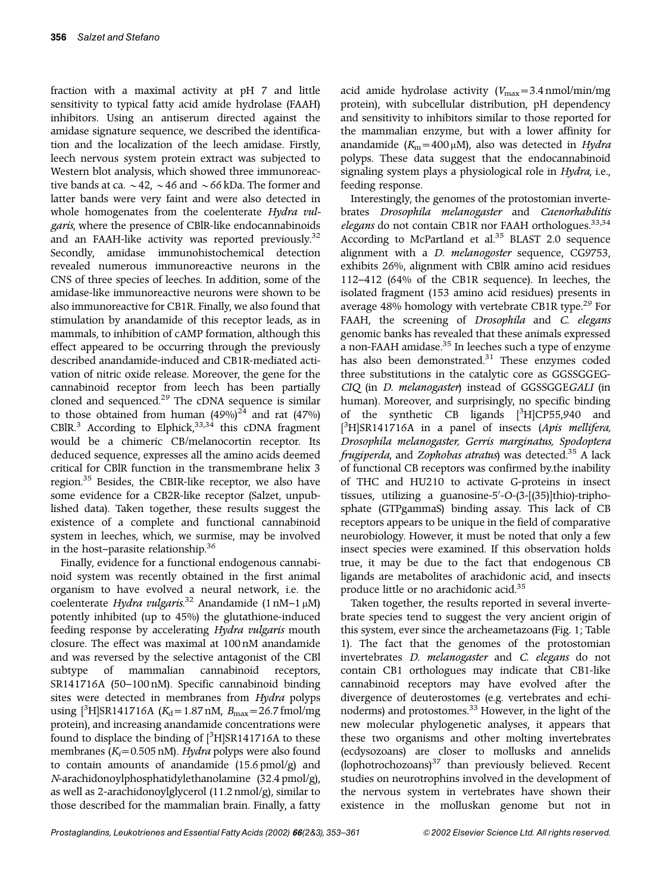fraction with a maximal activity at pH 7 and little sensitivity to typical fatty acid amide hydrolase (FAAH) inhibitors. Using an antiserum directed against the amidase signature sequence, we described the identification and the localization of the leech amidase. Firstly, leech nervous system protein extract was subjected to Western blot analysis, which showed three immunoreactive bands at ca.  $\sim$  42,  $\sim$  46 and  $\sim$  66 kDa. The former and latter bands were very faint and were also detected in whole homogenates from the coelenterate *Hydra vulgaris*, where the presence of CBlR-like endocannabinoids and an FAAH-like activity was reported previously.<sup>[32](#page-8-0)</sup> Secondly, amidase immunohistochemical detection revealed numerous immunoreactive neurons in the CNS of three species of leeches. In addition, some of the amidase-like immunoreactive neurons were shown to be also immunoreactive for CB1R. Finally, we also found that stimulation by anandamide of this receptor leads, as in mammals, to inhibition of cAMP formation, although this effect appeared to be occurring through the previously described anandamide-induced and CB1R-mediated activation of nitric oxide release. Moreover, the gene for the cannabinoid receptor from leech has been partially cloned and sequenced.<sup>[29](#page-7-0)</sup> The cDNA sequence is similar to those obtained from human  $(49\%)^{24}$  $(49\%)^{24}$  $(49\%)^{24}$  and rat  $(47\%)$ CBlR.<sup>3</sup> According to Elphick,<sup>33,34</sup> this cDNA fragment would be a chimeric CB/melanocortin receptor. Its deduced sequence, expresses all the amino acids deemed critical for CBlR function in the transmembrane helix 3 region.[35](#page-8-0) Besides, the CBIR-like receptor, we also have some evidence for a CB2R-like receptor (Salzet, unpublished data). Taken together, these results suggest the existence of a complete and functional cannabinoid system in leeches, which, we surmise, may be involved in the host–parasite relationship.<sup>[36](#page-8-0)</sup>

Finally, evidence for a functional endogenous cannabinoid system was recently obtained in the first animal organism to have evolved a neural network, i.e. the coelenterate *Hydra vulgaris*. [32](#page-8-0) Anandamide (1 nM–1 mM) potently inhibited (up to 45%) the glutathione-induced feeding response by accelerating *Hydra vulgaris* mouth closure. The effect was maximal at 100 nM anandamide and was reversed by the selective antagonist of the CBl subtype of mammalian cannabinoid receptors, SR141716A (50–100 nM). Specific cannabinoid binding sites were detected in membranes from *Hydra* polyps using [<sup>3</sup>H]SR141716A (*K*<sub>d</sub> = 1.87 nM, *B*<sub>max</sub> = 26.7 fmol/mg protein), and increasing anandamide concentrations were found to displace the binding of  $[3H]$ SR141716A to these membranes (*K<sub>i</sub>*=0.505 nM). *Hydra* polyps were also found to contain amounts of anandamide (15.6 pmol/g) and *N*-arachidonoylphosphatidylethanolamine (32.4 pmol/g), as well as 2-arachidonoylglycerol (11.2 nmol/g), similar to those described for the mammalian brain. Finally, a fatty acid amide hydrolase activity  $(V_{\text{max}}=3.4 \text{ nmol/min/mg})$ protein), with subcellular distribution, pH dependency and sensitivity to inhibitors similar to those reported for the mammalian enzyme, but with a lower affinity for anandamide  $(K_m = 400 \,\mu\text{M})$ , also was detected in *Hydra* polyps. These data suggest that the endocannabinoid signaling system plays a physiological role in *Hydra*, i.e., feeding response.

Interestingly, the genomes of the protostomian invertebrates *Drosophila melanogaster* and *Caenorhabditis elegans* do not contain CB1R nor FAAH orthologues.[33](#page-8-0),[34](#page-8-0) According to McPartland et al.<sup>35</sup> BLAST 2.0 sequence alignment with a *D. melanogoster* sequence, CG9753, exhibits 26%, alignment with CBlR amino acid residues 112–412 (64% of the CB1R sequence). In leeches, the isolated fragment (153 amino acid residues) presents in average 48% homology with vertebrate CB1R type.<sup>[29](#page-7-0)</sup> For FAAH, the screening of *Drosophila* and *C. elegans* genomic banks has revealed that these animals expressed  $\alpha$  non-FAAH amidase.<sup>[35](#page-8-0)</sup> In leeches such a type of enzyme has also been demonstrated.<sup>[31](#page-7-0)</sup> These enzymes coded three substitutions in the catalytic core as GGSSGGEG-*CIQ* (in *D. melanogaster*) instead of GGSSGGE*GALI* (in human). Moreover, and surprisingly, no specific binding of the synthetic CB ligands [<sup>3</sup>H]CP55,940 and [ 3 H]SR141716A in a panel of insects (*Apis mellifera, Drosophila melanogaster, Gerris marginatus, Spodoptera frugiperda*, and *Zophobas atratus*) was detected[.35](#page-8-0) A lack of functional CB receptors was confirmed by.the inability of THC and HU210 to activate G-proteins in insect tissues, utilizing a guanosine-5'-O-(3-[(35)]thio)-triphosphate (GTPgammaS) binding assay. This lack of CB receptors appears to be unique in the field of comparative neurobiology. However, it must be noted that only a few insect species were examined. If this observation holds true, it may be due to the fact that endogenous CB ligands are metabolites of arachidonic acid, and insects produce little or no arachidonic acid[.35](#page-8-0)

Taken together, the results reported in several invertebrate species tend to suggest the very ancient origin of this system, ever since the archeametazoans [\(Fig. 1;](#page-4-0) [Table](#page-2-0) [1\).](#page-2-0) The fact that the genomes of the protostomian invertebrates *D. melanogaster* and *C. elegans* do not contain CB1 orthologues may indicate that CB1-like cannabinoid receptors may have evolved after the divergence of deuterostomes (e.g. vertebrates and echi-noderms) and protostomes.<sup>[33](#page-8-0)</sup> However, in the light of the new molecular phylogenetic analyses, it appears that these two organisms and other molting invertebrates (ecdysozoans) are closer to mollusks and annelids (lophotrochozoans) $37$  than previously believed. Recent studies on neurotrophins involved in the development of the nervous system in vertebrates have shown their existence in the molluskan genome but not in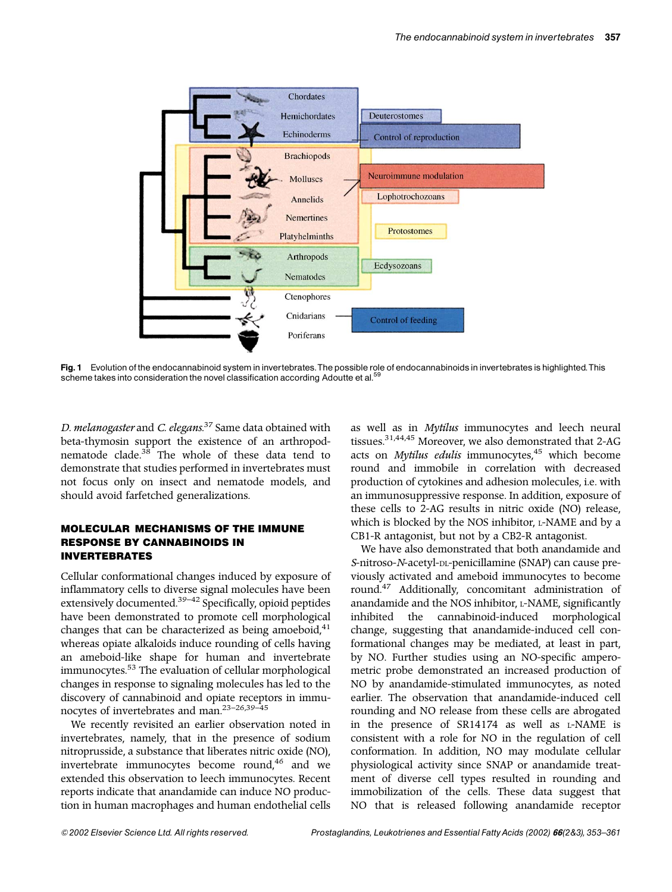<span id="page-4-0"></span>

Fig. 1 Evolution of the endocannabinoid system in invertebrates. The possible role of endocannabinoids in invertebrates is highlighted. This scheme takes into consideration the novel classification according Adoutte et al.<sup>55</sup>

*D. melanogaster* and *C. elegans*. [37](#page-8-0) Same data obtained with beta-thymosin support the existence of an arthropod-nematode clade.<sup>[38](#page-8-0)</sup> The whole of these data tend to demonstrate that studies performed in invertebrates must not focus only on insect and nematode models, and should avoid farfetched generalizations.

### MOLECULAR MECHANISMS OF THE IMMUNE RESPONSE BY CANNABINOIDS IN INVERTEBRATES

Cellular conformational changes induced by exposure of inflammatory cells to diverse signal molecules have been extensively documented.<sup>[39–42](#page-8-0)</sup> Specifically, opioid peptides have been demonstrated to promote cell morphological changes that can be characterized as being amoeboid, $41$ whereas opiate alkaloids induce rounding of cells having an ameboid-like shape for human and invertebrate immunocytes.<sup>[53](#page-8-0)</sup> The evaluation of cellular morphological changes in response to signaling molecules has led to the discovery of cannabinoid and opiate receptors in immunocytes of invertebrates and man.[23–26](#page-7-0)[,39–45](#page-8-0)

We recently revisited an earlier observation noted in invertebrates, namely, that in the presence of sodium nitroprusside, a substance that liberates nitric oxide (NO), invertebrate immunocytes become round,<sup>[46](#page-8-0)</sup> and we extended this observation to leech immunocytes. Recent reports indicate that anandamide can induce NO production in human macrophages and human endothelial cells

as well as in *Mytilus* immunocytes and leech neural tissues.[31,](#page-7-0)[44,45](#page-8-0) Moreover, we also demonstrated that 2-AG acts on *Mytilus edulis* immunocytes,<sup>[45](#page-8-0)</sup> which become round and immobile in correlation with decreased production of cytokines and adhesion molecules, i.e. with an immunosuppressive response. In addition, exposure of these cells to 2-AG results in nitric oxide (NO) release, which is blocked by the NOS inhibitor, L-NAME and by a CB1-R antagonist, but not by a CB2-R antagonist.

We have also demonstrated that both anandamide and *S*-nitroso-*N*-acetyl-DL-penicillamine (SNAP) can cause previously activated and ameboid immunocytes to become round[.47](#page-8-0) Additionally, concomitant administration of anandamide and the NOS inhibitor, L-NAME, significantly inhibited the cannabinoid-induced morphological change, suggesting that anandamide-induced cell conformational changes may be mediated, at least in part, by NO. Further studies using an NO-specific amperometric probe demonstrated an increased production of NO by anandamide-stimulated immunocytes, as noted earlier. The observation that anandamide-induced cell rounding and NO release from these cells are abrogated in the presence of SR14174 as well as L-NAME is consistent with a role for NO in the regulation of cell conformation. In addition, NO may modulate cellular physiological activity since SNAP or anandamide treatment of diverse cell types resulted in rounding and immobilization of the cells. These data suggest that NO that is released following anandamide receptor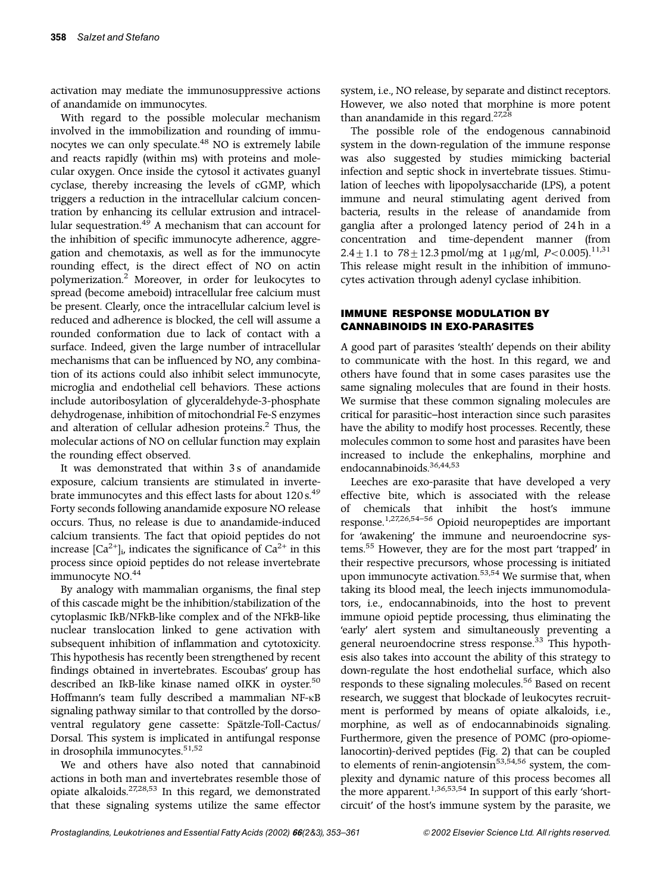activation may mediate the immunosuppressive actions of anandamide on immunocytes.

With regard to the possible molecular mechanism involved in the immobilization and rounding of immu-nocytes we can only speculate.<sup>[48](#page-8-0)</sup> NO is extremely labile and reacts rapidly (within ms) with proteins and molecular oxygen. Once inside the cytosol it activates guanyl cyclase, thereby increasing the levels of cGMP, which triggers a reduction in the intracellular calcium concentration by enhancing its cellular extrusion and intracel-lular sequestration.<sup>[49](#page-8-0)</sup> A mechanism that can account for the inhibition of specific immunocyte adherence, aggregation and chemotaxis, as well as for the immunocyte rounding effect, is the direct effect of NO on actin polymerization.[2](#page-7-0) Moreover, in order for leukocytes to spread (become ameboid) intracellular free calcium must be present. Clearly, once the intracellular calcium level is reduced and adherence is blocked, the cell will assume a rounded conformation due to lack of contact with a surface. Indeed, given the large number of intracellular mechanisms that can be influenced by NO, any combination of its actions could also inhibit select immunocyte, microglia and endothelial cell behaviors. These actions include autoribosylation of glyceraldehyde-3-phosphate dehydrogenase, inhibition of mitochondrial Fe-S enzymes and alteration of cellular adhesion proteins.<sup>[2](#page-7-0)</sup> Thus, the molecular actions of NO on cellular function may explain the rounding effect observed.

It was demonstrated that within 3s of anandamide exposure, calcium transients are stimulated in inverte-brate immunocytes and this effect lasts for about 120 s.<sup>[49](#page-8-0)</sup> Forty seconds following anandamide exposure NO release occurs. Thus, no release is due to anandamide-induced calcium transients. The fact that opioid peptides do not increase  $[Ca^{2+}]$ <sub>i</sub>, indicates the significance of  $Ca^{2+}$  in this process since opioid peptides do not release invertebrate immunocyte NO.<sup>[44](#page-8-0)</sup>

By analogy with mammalian organisms, the final step of this cascade might be the inhibition/stabilization of the cytoplasmic IkB/NFkB-like complex and of the NFkB-like nuclear translocation linked to gene activation with subsequent inhibition of inflammation and cytotoxicity. This hypothesis has recently been strengthened by recent findings obtained in invertebrates. Escoubas' group has described an IkB-like kinase named oIKK in oyster.<sup>50</sup> Hoffmann's team fully described a mammalian NF-KB signaling pathway similar to that controlled by the dorsoventral regulatory gene cassette: Spätzle-Toll-Cactus/ Dorsal. This system is implicated in antifungal response in drosophila immunocytes.<sup>[51,52](#page-8-0)</sup>

We and others have also noted that cannabinoid actions in both man and invertebrates resemble those of opiate alkaloids.[27,28](#page-7-0)[,53](#page-8-0) In this regard, we demonstrated that these signaling systems utilize the same effector system, i.e., NO release, by separate and distinct receptors. However, we also noted that morphine is more potent than anandamide in this regard.<sup>[27,28](#page-7-0)</sup>

The possible role of the endogenous cannabinoid system in the down-regulation of the immune response was also suggested by studies mimicking bacterial infection and septic shock in invertebrate tissues. Stimulation of leeches with lipopolysaccharide (LPS), a potent immune and neural stimulating agent derived from bacteria, results in the release of anandamide from ganglia after a prolonged latency period of 24h in a concentration and time-dependent manner (from  $2.4 \pm 1.1$  to  $78 \pm 12.3$  pmol/mg at 1 µg/ml, *P*<0.005).<sup>[11,31](#page-7-0)</sup> This release might result in the inhibition of immunocytes activation through adenyl cyclase inhibition.

# IMMUNE RESPONSE MODULATION BY CANNABINOIDS IN EXO-PARASITES

A good part of parasites 'stealth' depends on their ability to communicate with the host. In this regard, we and others have found that in some cases parasites use the same signaling molecules that are found in their hosts. We surmise that these common signaling molecules are critical for parasitic–host interaction since such parasites have the ability to modify host processes. Recently, these molecules common to some host and parasites have been increased to include the enkephalins, morphine and endocannabinoids.<sup>[36,44,53](#page-8-0)</sup>

Leeches are exo-parasite that have developed a very effective bite, which is associated with the release of chemicals that inhibit the host's immune response.[1,27,26,](#page-7-0)[54–56](#page-8-0) Opioid neuropeptides are important for 'awakening' the immune and neuroendocrine systems[.55](#page-8-0) However, they are for the most part 'trapped' in their respective precursors, whose processing is initiated upon immunocyte activation.<sup>[53,54](#page-8-0)</sup> We surmise that, when taking its blood meal, the leech injects immunomodulators, i.e., endocannabinoids, into the host to prevent immune opioid peptide processing, thus eliminating the 'early' alert system and simultaneously preventing a general neuroendocrine stress response.<sup>[33](#page-8-0)</sup> This hypothesis also takes into account the ability of this strategy to down-regulate the host endothelial surface, which also responds to these signaling molecules.<sup>[56](#page-8-0)</sup> Based on recent research, we suggest that blockade of leukocytes recruitment is performed by means of opiate alkaloids, i.e., morphine, as well as of endocannabinoids signaling. Furthermore, given the presence of POMC (pro-opiomelanocortin)-derived peptides [\(Fig. 2\)](#page-6-0) that can be coupled to elements of renin-angiotensin<sup>[53,54,56](#page-8-0)</sup> system, the complexity and dynamic nature of this process becomes all the more apparent.<sup>[1,](#page-7-0)[36,53](#page-8-0),[54](#page-8-0)</sup> In support of this early 'shortcircuit' of the host's immune system by the parasite, we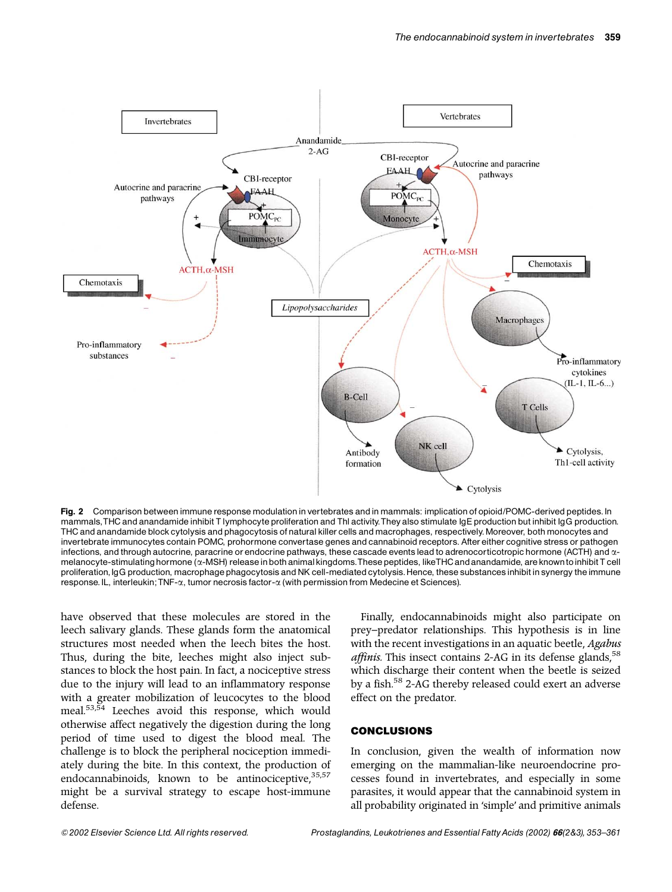<span id="page-6-0"></span>

Fig. 2 Comparison between immune response modulation in vertebrates and in mammals: implication of opioid/POMC-derived peptides. In mammals,THC and anandamide inhibit T lymphocyte proliferation and Thl activity.They also stimulate IgE production but inhibit IgG production. THC and anandamide block cytolysis and phagocytosis of natural killer cells and macrophages, respectively.Moreover, bothmonocytes and invertebrate immunocytes contain POMC, prohormone convertase genes and cannabinoid receptors. After either cognitive stress or pathogen infections, and through autocrine, paracrine or endocrine pathways, these cascade events lead to adrenocorticotropic hormone (ACTH) and  $\alpha$ melanocyte-stimulatinghormone (a-MSH) releasein both animalkingdoms.These peptides, likeTHC and anandamide, are knowntoinhibit T cell proliferation, IgG production, macrophage phagocytosis and NK cell-mediated cytolysis. Hence, these substances inhibit in synergy the immune response.IL, interleukin;TNF-a, tumor necrosis factor-a (with permission from Medecine et Sciences).

have observed that these molecules are stored in the leech salivary glands. These glands form the anatomical structures most needed when the leech bites the host. Thus, during the bite, leeches might also inject substances to block the host pain. In fact, a nociceptive stress due to the injury will lead to an inflammatory response with a greater mobilization of leucocytes to the blood meal.[53,54](#page-8-0) Leeches avoid this response, which would otherwise affect negatively the digestion during the long period of time used to digest the blood meal. The challenge is to block the peripheral nociception immediately during the bite. In this context, the production of endocannabinoids, known to be antinociceptive,  $35,57$ might be a survival strategy to escape host-immune defense.

Finally, endocannabinoids might also participate on prey–predator relationships. This hypothesis is in line with the recent investigations in an aquatic beetle, *Agabus affinis*. This insect contains 2-AG in its defense glands,  $58$ which discharge their content when the beetle is seized by a fish[.58](#page-8-0) 2-AG thereby released could exert an adverse effect on the predator.

#### CONCLUSIONS

In conclusion, given the wealth of information now emerging on the mammalian-like neuroendocrine processes found in invertebrates, and especially in some parasites, it would appear that the cannabinoid system in all probability originated in 'simple' and primitive animals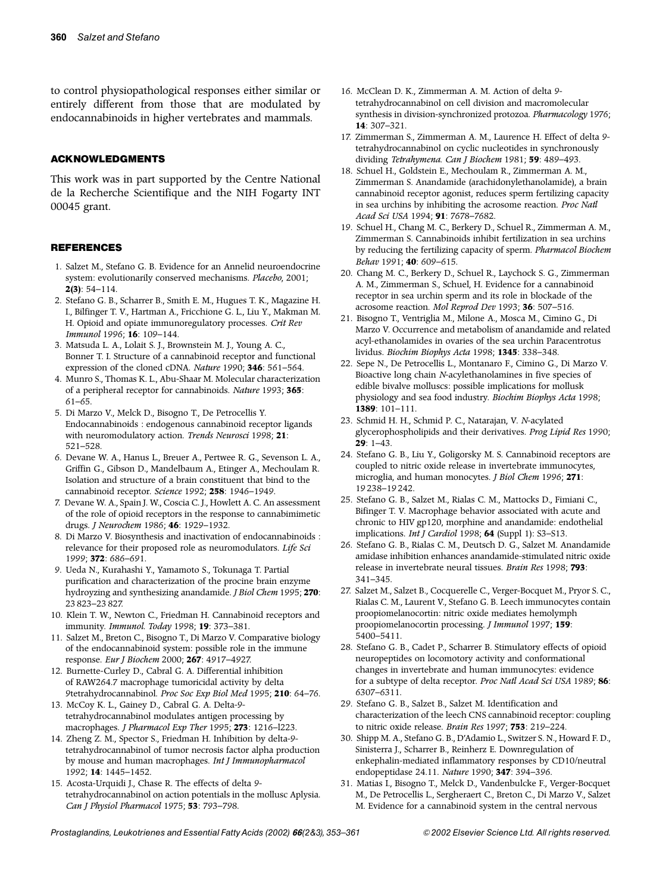<span id="page-7-0"></span>to control physiopathological responses either similar or entirely different from those that are modulated by endocannabinoids in higher vertebrates and mammals.

#### ACKNOWLEDGMENTS

This work was in part supported by the Centre National de la Recherche Scientifique and the NIH Fogarty INT 00045 grant.

#### REFERENCES

- 1. Salzet M., Stefano G. B. Evidence for an Annelid neuroendocrine system: evolutionarily conserved mechanisms. *Placebo*, 2001; **2(3)**: 54–114.
- 2. Stefano G. B., Scharrer B., Smith E. M., Hugues T. K., Magazine H. I., Bilfinger T. V., Hartman A., Fricchione G. L., Liu Y., Makman M. H. Opioid and opiate immunoregulatory processes. *Crit Rev Immunol* 1996; **16**: 109–144.
- 3. Matsuda L. A., Lolait S. J., Brownstein M. J., Young A. C., Bonner T. I. Structure of a cannabinoid receptor and functional expression of the cloned cDNA. *Nature* 1990; **346**: 561–564.
- 4. Munro S., Thomas K. L., Abu-Shaar M. Molecular characterization of a peripheral receptor for cannabinoids. *Nature* 1993; **365**: 61–65.
- 5. Di Marzo V., Melck D., Bisogno T., De Petrocellis Y. Endocannabinoids : endogenous cannabinoid receptor ligands with neuromodulatory action. *Trends Neurosci* 1998; **21**: 521–528.
- 6. Devane W. A., Hanus L., Breuer A., Pertwee R. G., Sevenson L. A., Griffin G., Gibson D., Mandelbaum A., Etinger A., Mechoulam R. Isolation and structure of a brain constituent that bind to the cannabinoid receptor. *Science* 1992; **258**: 1946–1949.
- 7. Devane W. A., Spain J. W., Coscia C. J., Howlett A. C. An assessment of the role of opioid receptors in the response to cannabimimetic drugs. *J Neurochem* 1986; **46**: 1929–1932.
- 8. Di Marzo V. Biosynthesis and inactivation of endocannabinoids : relevance for their proposed role as neuromodulators. *Life Sci* 1999; **372**: 686–691.
- 9. Ueda N., Kurahashi Y., Yamamoto S., Tokunaga T. Partial purification and characterization of the procine brain enzyme hydroyzing and synthesizing anandamide. *J Biol Chem* 1995; **270**: 23 823–23 827.
- 10. Klein T. W., Newton C., Friedman H. Cannabinoid receptors and immunity. *Immunol. Today* 1998; **19**: 373–381.
- 11. Salzet M., Breton C., Bisogno T., Di Marzo V. Comparative biology of the endocannabinoid system: possible role in the immune response. *Eur J Biochem* 2000; **267**: 4917–4927.
- 12. Burnette-Curley D., Cabral G. A. Differential inhibition of RAW264.7 macrophage tumoricidal activity by delta 9tetrahydrocannabinol. *Proc Soc Exp Biol Med* 1995; **210**: 64–76.
- 13. McCoy K. L., Gainey D., Cabral G. A. Delta-9 tetrahydrocannabinol modulates antigen processing by macrophages. *J Pharmacol Exp Ther* 1995; **273**: 1216–l223.
- 14. Zheng Z. M., Spector S., Friedman H. Inhibition by delta-9 tetrahydrocannabinol of tumor necrosis factor alpha production by mouse and human macrophages. *Int J Immunopharmacol* 1992; **14**: 1445–1452.
- 15. Acosta-Urquidi J., Chase R. The effects of delta 9 tetrahydrocannabinol on action potentials in the mollusc Aplysia. *Can J Physiol Pharmacol* 1975; **53**: 793–798.
- 16. McClean D. K., Zimmerman A. M. Action of delta 9 tetrahydrocannabinol on cell division and macromolecular synthesis in division-synchronized protozoa. *Pharmacology* 1976; **14**: 307–321.
- 17. Zimmerman S., Zimmerman A. M., Laurence H. Effect of delta 9 tetrahydrocannabinol on cyclic nucleotides in synchronously dividing *Tetrahymena*. *Can J Biochem* 1981; **59**: 489–493.
- 18. Schuel H., Goldstein E., Mechoulam R., Zimmerman A. M., Zimmerman S. Anandamide (arachidonylethanolamide), a brain cannabinoid receptor agonist, reduces sperm fertilizing capacity in sea urchins by inhibiting the acrosome reaction. *Proc Natl Acad Sci USA* 1994; **91**: 7678–7682.
- 19. Schuel H., Chang M. C., Berkery D., Schuel R., Zimmerman A. M., Zimmerman S. Cannabinoids inhibit fertilization in sea urchins by reducing the fertilizing capacity of sperm. *Pharmacol Biochem Behav* 1991; **40**: 609–615.
- 20. Chang M. C., Berkery D., Schuel R., Laychock S. G., Zimmerman A. M., Zimmerman S., Schuel, H. Evidence for a cannabinoid receptor in sea urchin sperm and its role in blockade of the acrosome reaction. *Mol Reprod Dev* 1993; **36**: 507–516.
- 21. Bisogno T., Ventriglia M., Milone A., Mosca M., Cimino G., Di Marzo V. Occurrence and metabolism of anandamide and related acyl-ethanolamides in ovaries of the sea urchin Paracentrotus lividus. *Biochim Biophys Acta* 1998; **1345**: 338–348.
- 22. Sepe N., De Petrocellis L., Montanaro F., Cimino G., Di Marzo V. Bioactive long chain *N*-acylethanolamines in five species of edible bivalve molluscs: possible implications for mollusk physiology and sea food industry. *Biochim Biophys Acta* 1998; **1389**: 101–111.
- 23. Schmid H. H., Schmid P. C., Natarajan, V. *N*-acylated glycerophospholipids and their derivatives. *Prog Lipid Res* 1990; **29**: 1–43.
- 24. Stefano G. B., Liu Y., Goligorsky M. S. Cannabinoid receptors are coupled to nitric oxide release in invertebrate immunocytes, microglia, and human monocytes. *J Biol Chem* 1996; **271**: 19 238–19 242.
- 25. Stefano G. B., Salzet M., Rialas C. M., Mattocks D., Fimiani C., Bifinger T. V. Macrophage behavior associated with acute and chronic to HIV gp120, morphine and anandamide: endothelial implications. *Int J Cardiol* 1998; **64** (Suppl 1): S3–S13.
- 26. Stefano G. B., Rialas C. M., Deutsch D. G., Salzet M. Anandamide amidase inhibition enhances anandamide-stimulated nitric oxide release in invertebrate neural tissues. *Brain Res* 1998; **793**: 341–345.
- 27. Salzet M., Salzet B., Cocquerelle C., Verger-Bocquet M., Pryor S. C., Rialas C. M., Laurent V., Stefano G. B. Leech immunocytes contain proopiomelanocortin: nitric oxide mediates hemolymph proopiomelanocortin processing. *J Immunol* 1997; **159**: 5400–5411.
- 28. Stefano G. B., Cadet P., Scharrer B. Stimulatory effects of opioid neuropeptides on locomotory activity and conformational changes in invertebrate and human immunocytes: evidence for a subtype of delta receptor. *Proc Natl Acad Sci USA* 1989; **86**: 6307–6311.
- 29. Stefano G. B., Salzet B., Salzet M. Identification and characterization of the leech CNS cannabinoid receptor: coupling to nitric oxide release. *Brain Res* 1997; **753**: 219–224.
- 30. Shipp M. A., Stefano G. B., D'Adamio L., Switzer S. N., Howard F. D., Sinisterra J., Scharrer B., Reinherz E. Downregulation of enkephalin-mediated inflammatory responses by CD10/neutral endopeptidase 24.11. *Nature* 1990; **347**: 394–396.
- 31. Matias I., Bisogno T., Melck D., Vandenbulcke F., Verger-Bocquet M., De Petrocellis L., Sergheraert C., Breton C., Di Marzo V., Salzet M. Evidence for a cannabinoid system in the central nervous